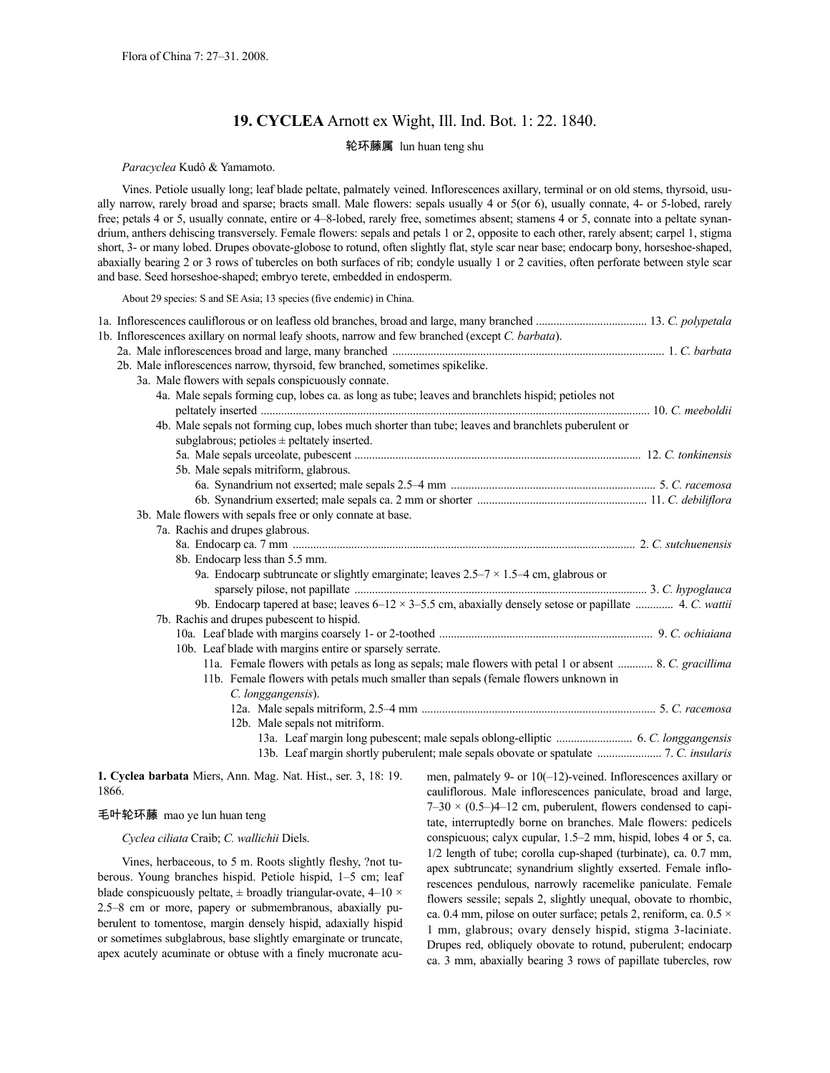# **19. CYCLEA** Arnott ex Wight, Ill. Ind. Bot. 1: 22. 1840.

## 轮环藤属 lun huan teng shu

*Paracyclea* Kudô & Yamamoto.

Vines. Petiole usually long; leaf blade peltate, palmately veined. Inflorescences axillary, terminal or on old stems, thyrsoid, usually narrow, rarely broad and sparse; bracts small. Male flowers: sepals usually 4 or 5(or 6), usually connate, 4- or 5-lobed, rarely free; petals 4 or 5, usually connate, entire or 4–8-lobed, rarely free, sometimes absent; stamens 4 or 5, connate into a peltate synandrium, anthers dehiscing transversely. Female flowers: sepals and petals 1 or 2, opposite to each other, rarely absent; carpel 1, stigma short, 3- or many lobed. Drupes obovate-globose to rotund, often slightly flat, style scar near base; endocarp bony, horseshoe-shaped, abaxially bearing 2 or 3 rows of tubercles on both surfaces of rib; condyle usually 1 or 2 cavities, often perforate between style scar and base. Seed horseshoe-shaped; embryo terete, embedded in endosperm.

About 29 species: S and SE Asia; 13 species (five endemic) in China.

|  | 1b. Inflorescences axillary on normal leafy shoots, narrow and few branched (except C. barbata).                 |  |
|--|------------------------------------------------------------------------------------------------------------------|--|
|  |                                                                                                                  |  |
|  | 2b. Male inflorescences narrow, thyrsoid, few branched, sometimes spikelike.                                     |  |
|  | 3a. Male flowers with sepals conspicuously connate.                                                              |  |
|  | 4a. Male sepals forming cup, lobes ca. as long as tube; leaves and branchlets hispid; petioles not               |  |
|  |                                                                                                                  |  |
|  | 4b. Male sepals not forming cup, lobes much shorter than tube; leaves and branchlets puberulent or               |  |
|  | subglabrous; petioles $\pm$ peltately inserted.                                                                  |  |
|  |                                                                                                                  |  |
|  | 5b. Male sepals mitriform, glabrous.                                                                             |  |
|  |                                                                                                                  |  |
|  |                                                                                                                  |  |
|  | 3b. Male flowers with sepals free or only connate at base.                                                       |  |
|  | 7a. Rachis and drupes glabrous.                                                                                  |  |
|  |                                                                                                                  |  |
|  | 8b. Endocarp less than 5.5 mm.                                                                                   |  |
|  | 9a. Endocarp subtruncate or slightly emarginate; leaves $2.5-7 \times 1.5-4$ cm, glabrous or                     |  |
|  |                                                                                                                  |  |
|  | 9b. Endocarp tapered at base; leaves $6-12 \times 3-5.5$ cm, abaxially densely setose or papillate  4. C. wattii |  |
|  | 7b. Rachis and drupes pubescent to hispid.                                                                       |  |
|  |                                                                                                                  |  |
|  | 10b. Leaf blade with margins entire or sparsely serrate.                                                         |  |
|  | 11a. Female flowers with petals as long as sepals; male flowers with petal 1 or absent  8. C. gracillima         |  |
|  | 11b. Female flowers with petals much smaller than sepals (female flowers unknown in                              |  |
|  | C. longgangensis).                                                                                               |  |
|  |                                                                                                                  |  |
|  | 12b. Male sepals not mitriform.                                                                                  |  |
|  |                                                                                                                  |  |
|  |                                                                                                                  |  |
|  |                                                                                                                  |  |

**1. Cyclea barbata** Miers, Ann. Mag. Nat. Hist., ser. 3, 18: 19. 1866.

### 毛叶轮环藤 mao ye lun huan teng

*Cyclea ciliata* Craib; *C. wallichii* Diels.

Vines, herbaceous, to 5 m. Roots slightly fleshy, ?not tuberous. Young branches hispid. Petiole hispid, 1–5 cm; leaf blade conspicuously peltate,  $\pm$  broadly triangular-ovate, 4–10  $\times$ 2.5–8 cm or more, papery or submembranous, abaxially puberulent to tomentose, margin densely hispid, adaxially hispid or sometimes subglabrous, base slightly emarginate or truncate, apex acutely acuminate or obtuse with a finely mucronate acumen, palmately 9- or 10(–12)-veined. Inflorescences axillary or cauliflorous. Male inflorescences paniculate, broad and large,  $7-30 \times (0.5-1)4-12$  cm, puberulent, flowers condensed to capitate, interruptedly borne on branches. Male flowers: pedicels conspicuous; calyx cupular, 1.5–2 mm, hispid, lobes 4 or 5, ca. 1/2 length of tube; corolla cup-shaped (turbinate), ca. 0.7 mm, apex subtruncate; synandrium slightly exserted. Female inflorescences pendulous, narrowly racemelike paniculate. Female flowers sessile; sepals 2, slightly unequal, obovate to rhombic, ca. 0.4 mm, pilose on outer surface; petals 2, reniform, ca. 0.5 × 1 mm, glabrous; ovary densely hispid, stigma 3-laciniate. Drupes red, obliquely obovate to rotund, puberulent; endocarp ca. 3 mm, abaxially bearing 3 rows of papillate tubercles, row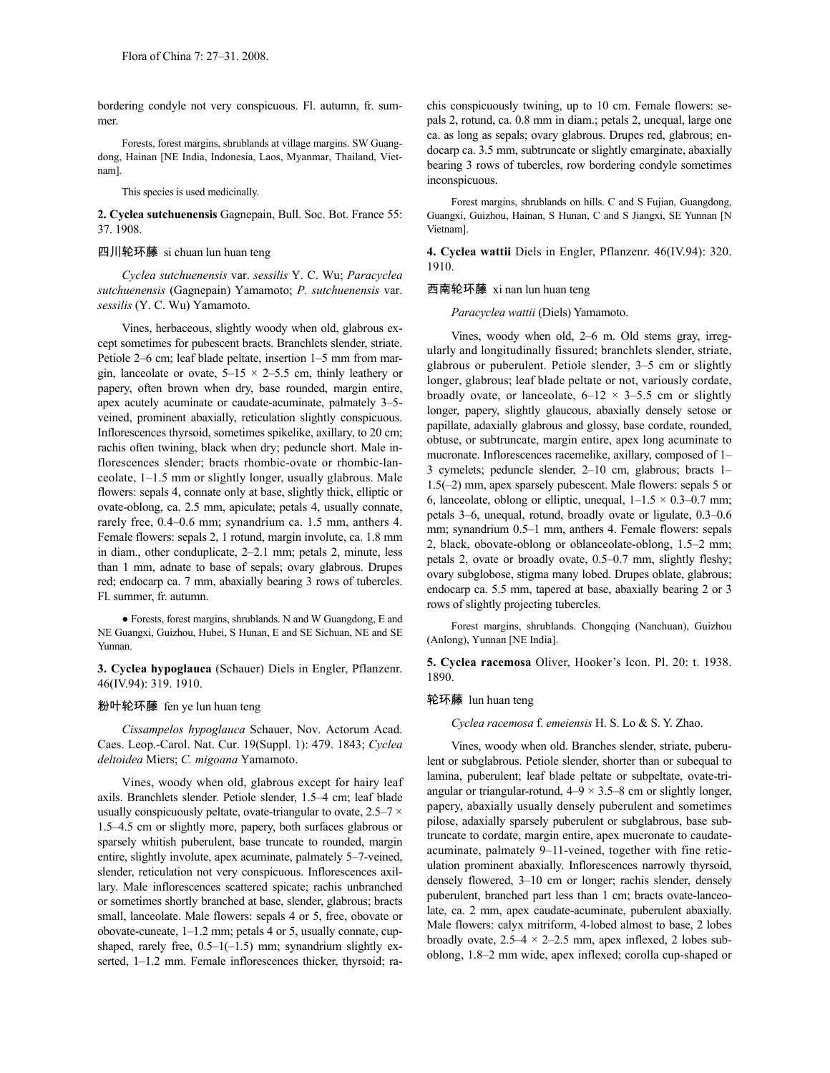bordering condyle not very conspicuous. Fl. autumn, fr. summer.

Forests, forest margins, shrublands at village margins. SW Guangdong, Hainan [NE India, Indonesia, Laos, Myanmar, Thailand, Vietnam].

This species is used medicinally.

**2. Cyclea sutchuenensis** Gagnepain, Bull. Soc. Bot. France 55: 37. 1908.

### 四川轮环藤 si chuan lun huan teng

*Cyclea sutchuenensis* var. *sessilis* Y. C. Wu; *Paracyclea sutchuenensis* (Gagnepain) Yamamoto; *P. sutchuenensis* var. *sessilis* (Y. C. Wu) Yamamoto.

Vines, herbaceous, slightly woody when old, glabrous except sometimes for pubescent bracts. Branchlets slender, striate. Petiole 2–6 cm; leaf blade peltate, insertion 1–5 mm from margin, lanceolate or ovate,  $5-15 \times 2-5.5$  cm, thinly leathery or papery, often brown when dry, base rounded, margin entire, apex acutely acuminate or caudate-acuminate, palmately 3–5 veined, prominent abaxially, reticulation slightly conspicuous. Inflorescences thyrsoid, sometimes spikelike, axillary, to 20 cm; rachis often twining, black when dry; peduncle short. Male inflorescences slender; bracts rhombic-ovate or rhombic-lanceolate, 1–1.5 mm or slightly longer, usually glabrous. Male flowers: sepals 4, connate only at base, slightly thick, elliptic or ovate-oblong, ca. 2.5 mm, apiculate; petals 4, usually connate, rarely free, 0.4–0.6 mm; synandrium ca. 1.5 mm, anthers 4. Female flowers: sepals 2, 1 rotund, margin involute, ca. 1.8 mm in diam., other conduplicate, 2–2.1 mm; petals 2, minute, less than 1 mm, adnate to base of sepals; ovary glabrous. Drupes red; endocarp ca. 7 mm, abaxially bearing 3 rows of tubercles. Fl. summer, fr. autumn.

● Forests, forest margins, shrublands. N and W Guangdong, E and NE Guangxi, Guizhou, Hubei, S Hunan, E and SE Sichuan, NE and SE Yunnan.

**3. Cyclea hypoglauca** (Schauer) Diels in Engler, Pflanzenr. 46(IV.94): 319. 1910.

# 粉叶轮环藤 fen ye lun huan teng

*Cissampelos hypoglauca* Schauer, Nov. Actorum Acad. Caes. Leop.-Carol. Nat. Cur. 19(Suppl. 1): 479. 1843; *Cyclea deltoidea* Miers; *C. migoana* Yamamoto.

Vines, woody when old, glabrous except for hairy leaf axils. Branchlets slender. Petiole slender, 1.5–4 cm; leaf blade usually conspicuously peltate, ovate-triangular to ovate,  $2.5-7 \times$ 1.5–4.5 cm or slightly more, papery, both surfaces glabrous or sparsely whitish puberulent, base truncate to rounded, margin entire, slightly involute, apex acuminate, palmately 5–7-veined, slender, reticulation not very conspicuous. Inflorescences axillary. Male inflorescences scattered spicate; rachis unbranched or sometimes shortly branched at base, slender, glabrous; bracts small, lanceolate. Male flowers: sepals 4 or 5, free, obovate or obovate-cuneate, 1–1.2 mm; petals 4 or 5, usually connate, cupshaped, rarely free,  $0.5-1(-1.5)$  mm; synandrium slightly exserted, 1-1.2 mm. Female inflorescences thicker, thyrsoid; rachis conspicuously twining, up to 10 cm. Female flowers: sepals 2, rotund, ca. 0.8 mm in diam.; petals 2, unequal, large one ca. as long as sepals; ovary glabrous. Drupes red, glabrous; endocarp ca. 3.5 mm, subtruncate or slightly emarginate, abaxially bearing 3 rows of tubercles, row bordering condyle sometimes inconspicuous.

Forest margins, shrublands on hills. C and S Fujian, Guangdong, Guangxi, Guizhou, Hainan, S Hunan, C and S Jiangxi, SE Yunnan [N Vietnam].

**4. Cyclea wattii** Diels in Engler, Pflanzenr. 46(IV.94): 320. 1910.

### 西南轮环藤 xi nan lun huan teng

*Paracyclea wattii* (Diels) Yamamoto.

Vines, woody when old, 2–6 m. Old stems gray, irregularly and longitudinally fissured; branchlets slender, striate, glabrous or puberulent. Petiole slender, 3–5 cm or slightly longer, glabrous; leaf blade peltate or not, variously cordate, broadly ovate, or lanceolate,  $6-12 \times 3-5.5$  cm or slightly longer, papery, slightly glaucous, abaxially densely setose or papillate, adaxially glabrous and glossy, base cordate, rounded, obtuse, or subtruncate, margin entire, apex long acuminate to mucronate. Inflorescences racemelike, axillary, composed of 1– 3 cymelets; peduncle slender, 2–10 cm, glabrous; bracts 1– 1.5(–2) mm, apex sparsely pubescent. Male flowers: sepals 5 or 6, lanceolate, oblong or elliptic, unequal,  $1-1.5 \times 0.3-0.7$  mm; petals 3–6, unequal, rotund, broadly ovate or ligulate, 0.3–0.6 mm; synandrium 0.5–1 mm, anthers 4. Female flowers: sepals 2, black, obovate-oblong or oblanceolate-oblong, 1.5–2 mm; petals 2, ovate or broadly ovate, 0.5–0.7 mm, slightly fleshy; ovary subglobose, stigma many lobed. Drupes oblate, glabrous; endocarp ca. 5.5 mm, tapered at base, abaxially bearing 2 or 3 rows of slightly projecting tubercles.

Forest margins, shrublands. Chongqing (Nanchuan), Guizhou (Anlong), Yunnan [NE India].

**5. Cyclea racemosa** Oliver, Hooker's Icon. Pl. 20: t. 1938. 1890.

### 轮环藤 lun huan teng

*Cyclea racemosa* f. *emeiensis* H. S. Lo & S. Y. Zhao.

Vines, woody when old. Branches slender, striate, puberulent or subglabrous. Petiole slender, shorter than or subequal to lamina, puberulent; leaf blade peltate or subpeltate, ovate-triangular or triangular-rotund,  $4-9 \times 3.5-8$  cm or slightly longer, papery, abaxially usually densely puberulent and sometimes pilose, adaxially sparsely puberulent or subglabrous, base subtruncate to cordate, margin entire, apex mucronate to caudateacuminate, palmately 9–11-veined, together with fine reticulation prominent abaxially. Inflorescences narrowly thyrsoid, densely flowered, 3–10 cm or longer; rachis slender, densely puberulent, branched part less than 1 cm; bracts ovate-lanceolate, ca. 2 mm, apex caudate-acuminate, puberulent abaxially. Male flowers: calyx mitriform, 4-lobed almost to base, 2 lobes broadly ovate,  $2.5-4 \times 2-2.5$  mm, apex inflexed, 2 lobes suboblong, 1.8–2 mm wide, apex inflexed; corolla cup-shaped or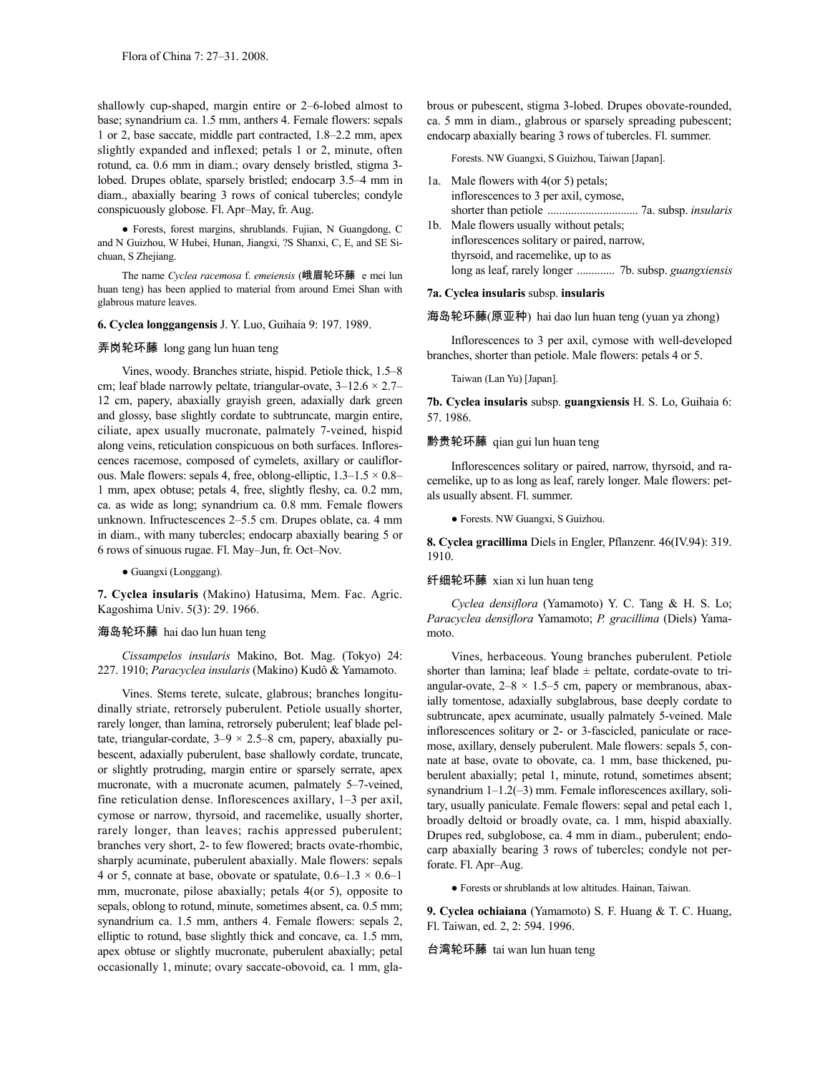shallowly cup-shaped, margin entire or 2–6-lobed almost to base; synandrium ca. 1.5 mm, anthers 4. Female flowers: sepals 1 or 2, base saccate, middle part contracted, 1.8–2.2 mm, apex slightly expanded and inflexed; petals 1 or 2, minute, often rotund, ca. 0.6 mm in diam.; ovary densely bristled, stigma 3 lobed. Drupes oblate, sparsely bristled; endocarp 3.5–4 mm in diam., abaxially bearing 3 rows of conical tubercles; condyle conspicuously globose. Fl. Apr–May, fr. Aug.

● Forests, forest margins, shrublands. Fujian, N Guangdong, C and N Guizhou, W Hubei, Hunan, Jiangxi, ?S Shanxi, C, E, and SE Sichuan, S Zhejiang.

The name *Cyclea racemosa* f. *emeiensis* (峨眉轮环藤 e mei lun huan teng) has been applied to material from around Emei Shan with glabrous mature leaves.

#### **6. Cyclea longgangensis** J. Y. Luo, Guihaia 9: 197. 1989.

### 弄岗轮环藤 long gang lun huan teng

Vines, woody. Branches striate, hispid. Petiole thick, 1.5–8 cm; leaf blade narrowly peltate, triangular-ovate,  $3-12.6 \times 2.7-$ 12 cm, papery, abaxially grayish green, adaxially dark green and glossy, base slightly cordate to subtruncate, margin entire, ciliate, apex usually mucronate, palmately 7-veined, hispid along veins, reticulation conspicuous on both surfaces. Inflorescences racemose, composed of cymelets, axillary or cauliflorous. Male flowers: sepals 4, free, oblong-elliptic,  $1.3-1.5 \times 0.8-$ 1 mm, apex obtuse; petals 4, free, slightly fleshy, ca. 0.2 mm, ca. as wide as long; synandrium ca. 0.8 mm. Female flowers unknown. Infructescences 2–5.5 cm. Drupes oblate, ca. 4 mm in diam., with many tubercles; endocarp abaxially bearing 5 or 6 rows of sinuous rugae. Fl. May–Jun, fr. Oct–Nov.

● Guangxi (Longgang).

**7. Cyclea insularis** (Makino) Hatusima, Mem. Fac. Agric. Kagoshima Univ. 5(3): 29. 1966.

### 海岛轮环藤 hai dao lun huan teng

*Cissampelos insularis* Makino, Bot. Mag. (Tokyo) 24: 227. 1910; *Paracyclea insularis* (Makino) Kudô & Yamamoto.

Vines. Stems terete, sulcate, glabrous; branches longitudinally striate, retrorsely puberulent. Petiole usually shorter, rarely longer, than lamina, retrorsely puberulent; leaf blade peltate, triangular-cordate,  $3-9 \times 2.5-8$  cm, papery, abaxially pubescent, adaxially puberulent, base shallowly cordate, truncate, or slightly protruding, margin entire or sparsely serrate, apex mucronate, with a mucronate acumen, palmately 5–7-veined, fine reticulation dense. Inflorescences axillary, 1–3 per axil, cymose or narrow, thyrsoid, and racemelike, usually shorter, rarely longer, than leaves; rachis appressed puberulent; branches very short, 2- to few flowered; bracts ovate-rhombic, sharply acuminate, puberulent abaxially. Male flowers: sepals 4 or 5, connate at base, obovate or spatulate,  $0.6-1.3 \times 0.6-1$ mm, mucronate, pilose abaxially; petals 4(or 5), opposite to sepals, oblong to rotund, minute, sometimes absent, ca. 0.5 mm; synandrium ca. 1.5 mm, anthers 4. Female flowers: sepals 2, elliptic to rotund, base slightly thick and concave, ca. 1.5 mm, apex obtuse or slightly mucronate, puberulent abaxially; petal occasionally 1, minute; ovary saccate-obovoid, ca. 1 mm, glabrous or pubescent, stigma 3-lobed. Drupes obovate-rounded, ca. 5 mm in diam., glabrous or sparsely spreading pubescent; endocarp abaxially bearing 3 rows of tubercles. Fl. summer.

Forests. NW Guangxi, S Guizhou, Taiwan [Japan].

| 1a. Male flowers with 4(or 5) petals;      |
|--------------------------------------------|
| inflorescences to 3 per axil, cymose,      |
|                                            |
| 1b. Male flowers usually without petals;   |
| inflorescences solitary or paired, narrow, |
| thyrsoid, and racemelike, up to as         |
|                                            |

#### **7a. Cyclea insularis** subsp. **insularis**

海岛轮环藤(原亚种) hai dao lun huan teng (yuan ya zhong)

Inflorescences to 3 per axil, cymose with well-developed branches, shorter than petiole. Male flowers: petals 4 or 5.

Taiwan (Lan Yu) [Japan].

**7b. Cyclea insularis** subsp. **guangxiensis** H. S. Lo, Guihaia 6: 57. 1986.

### 黔贵轮环藤 qian gui lun huan teng

Inflorescences solitary or paired, narrow, thyrsoid, and racemelike, up to as long as leaf, rarely longer. Male flowers: petals usually absent. Fl. summer.

● Forests. NW Guangxi, S Guizhou.

**8. Cyclea gracillima** Diels in Engler, Pflanzenr. 46(IV.94): 319. 1910.

### 纤细轮环藤 xian xi lun huan teng

*Cyclea densiflora* (Yamamoto) Y. C. Tang & H. S. Lo; *Paracyclea densiflora* Yamamoto; *P. gracillima* (Diels) Yamamoto.

Vines, herbaceous. Young branches puberulent. Petiole shorter than lamina; leaf blade  $\pm$  peltate, cordate-ovate to triangular-ovate,  $2-8 \times 1.5-5$  cm, papery or membranous, abaxially tomentose, adaxially subglabrous, base deeply cordate to subtruncate, apex acuminate, usually palmately 5-veined. Male inflorescences solitary or 2- or 3-fascicled, paniculate or racemose, axillary, densely puberulent. Male flowers: sepals 5, connate at base, ovate to obovate, ca. 1 mm, base thickened, puberulent abaxially; petal 1, minute, rotund, sometimes absent; synandrium 1–1.2(-3) mm. Female inflorescences axillary, solitary, usually paniculate. Female flowers: sepal and petal each 1, broadly deltoid or broadly ovate, ca. 1 mm, hispid abaxially. Drupes red, subglobose, ca. 4 mm in diam., puberulent; endocarp abaxially bearing 3 rows of tubercles; condyle not perforate. Fl. Apr–Aug.

● Forests or shrublands at low altitudes. Hainan, Taiwan.

**9. Cyclea ochiaiana** (Yamamoto) S. F. Huang & T. C. Huang, Fl. Taiwan, ed. 2, 2: 594. 1996.

#### 台湾轮环藤 tai wan lun huan teng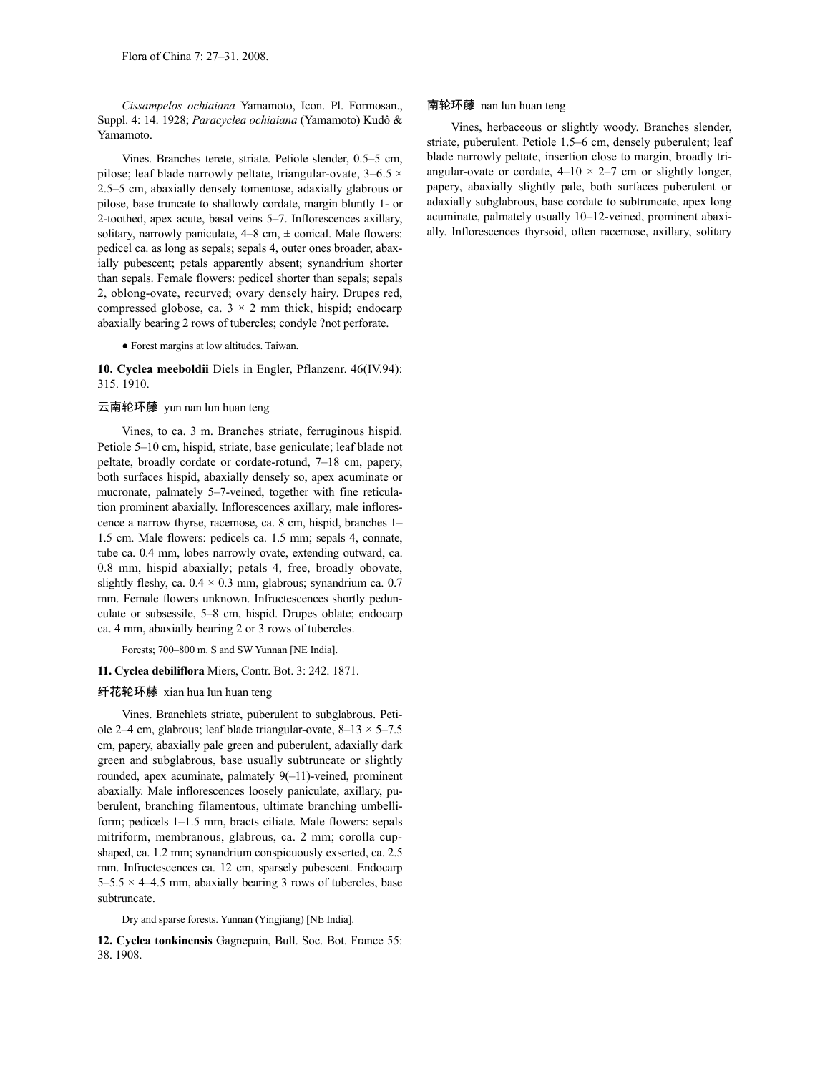*Cissampelos ochiaiana* Yamamoto, Icon. Pl. Formosan., Suppl. 4: 14. 1928; *Paracyclea ochiaiana* (Yamamoto) Kudô & Yamamoto.

Vines. Branches terete, striate. Petiole slender, 0.5–5 cm, pilose; leaf blade narrowly peltate, triangular-ovate,  $3-6.5 \times$ 2.5–5 cm, abaxially densely tomentose, adaxially glabrous or pilose, base truncate to shallowly cordate, margin bluntly 1- or 2-toothed, apex acute, basal veins 5–7. Inflorescences axillary, solitary, narrowly paniculate,  $4-8$  cm,  $\pm$  conical. Male flowers: pedicel ca. as long as sepals; sepals 4, outer ones broader, abaxially pubescent; petals apparently absent; synandrium shorter than sepals. Female flowers: pedicel shorter than sepals; sepals 2, oblong-ovate, recurved; ovary densely hairy. Drupes red, compressed globose, ca.  $3 \times 2$  mm thick, hispid; endocarp abaxially bearing 2 rows of tubercles; condyle ?not perforate.

● Forest margins at low altitudes. Taiwan.

**10. Cyclea meeboldii** Diels in Engler, Pflanzenr. 46(IV.94): 315. 1910.

### 云南轮环藤 yun nan lun huan teng

Vines, to ca. 3 m. Branches striate, ferruginous hispid. Petiole 5–10 cm, hispid, striate, base geniculate; leaf blade not peltate, broadly cordate or cordate-rotund, 7–18 cm, papery, both surfaces hispid, abaxially densely so, apex acuminate or mucronate, palmately 5–7-veined, together with fine reticulation prominent abaxially. Inflorescences axillary, male inflorescence a narrow thyrse, racemose, ca. 8 cm, hispid, branches 1– 1.5 cm. Male flowers: pedicels ca. 1.5 mm; sepals 4, connate, tube ca. 0.4 mm, lobes narrowly ovate, extending outward, ca. 0.8 mm, hispid abaxially; petals 4, free, broadly obovate, slightly fleshy, ca.  $0.4 \times 0.3$  mm, glabrous; synandrium ca. 0.7 mm. Female flowers unknown. Infructescences shortly pedunculate or subsessile, 5–8 cm, hispid. Drupes oblate; endocarp ca. 4 mm, abaxially bearing 2 or 3 rows of tubercles.

Forests; 700–800 m. S and SW Yunnan [NE India].

### **11. Cyclea debiliflora** Miers, Contr. Bot. 3: 242. 1871.

### 纤花轮环藤 xian hua lun huan teng

Vines. Branchlets striate, puberulent to subglabrous. Petiole 2–4 cm, glabrous; leaf blade triangular-ovate,  $8-13 \times 5-7.5$ cm, papery, abaxially pale green and puberulent, adaxially dark green and subglabrous, base usually subtruncate or slightly rounded, apex acuminate, palmately 9(–11)-veined, prominent abaxially. Male inflorescences loosely paniculate, axillary, puberulent, branching filamentous, ultimate branching umbelliform; pedicels 1–1.5 mm, bracts ciliate. Male flowers: sepals mitriform, membranous, glabrous, ca. 2 mm; corolla cupshaped, ca. 1.2 mm; synandrium conspicuously exserted, ca. 2.5 mm. Infructescences ca. 12 cm, sparsely pubescent. Endocarp  $5-5.5 \times 4-4.5$  mm, abaxially bearing 3 rows of tubercles, base subtruncate.

Dry and sparse forests. Yunnan (Yingjiang) [NE India].

**12. Cyclea tonkinensis** Gagnepain, Bull. Soc. Bot. France 55: 38. 1908.

### 南轮环藤 nan lun huan teng

Vines, herbaceous or slightly woody. Branches slender, striate, puberulent. Petiole 1.5–6 cm, densely puberulent; leaf blade narrowly peltate, insertion close to margin, broadly triangular-ovate or cordate,  $4-10 \times 2-7$  cm or slightly longer, papery, abaxially slightly pale, both surfaces puberulent or adaxially subglabrous, base cordate to subtruncate, apex long acuminate, palmately usually 10–12-veined, prominent abaxially. Inflorescences thyrsoid, often racemose, axillary, solitary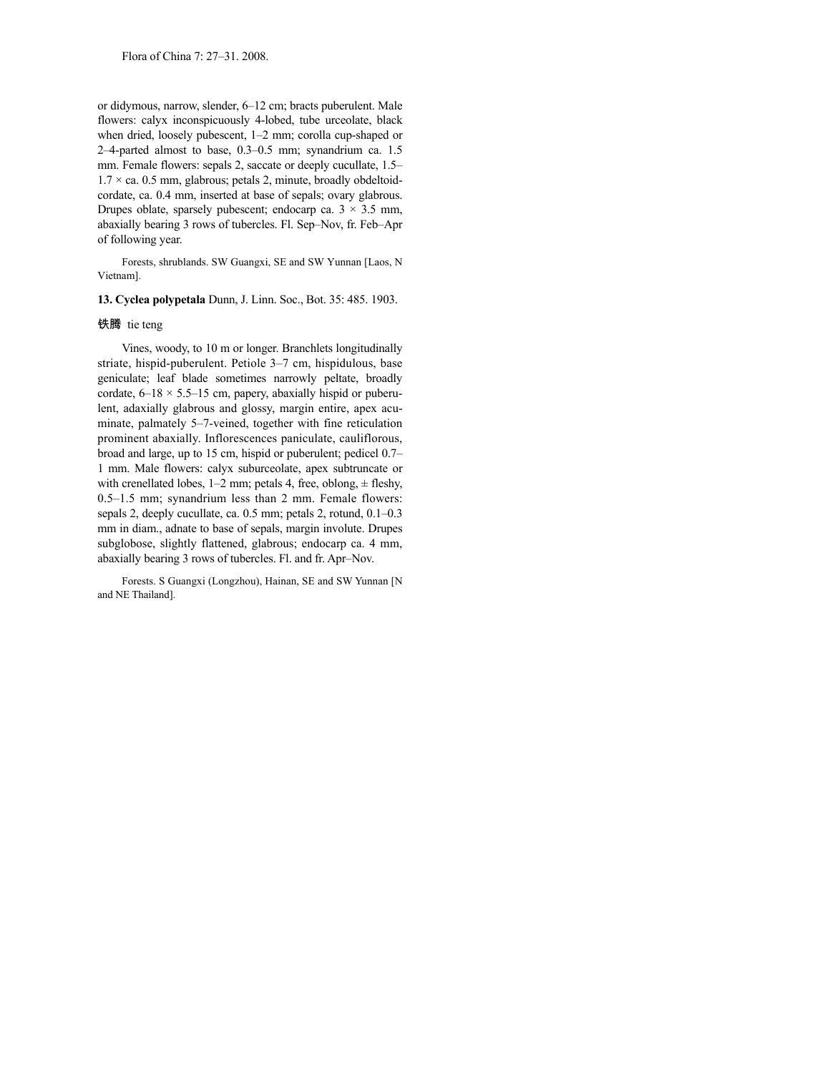or didymous, narrow, slender, 6–12 cm; bracts puberulent. Male flowers: calyx inconspicuously 4-lobed, tube urceolate, black when dried, loosely pubescent, 1–2 mm; corolla cup-shaped or 2–4-parted almost to base, 0.3–0.5 mm; synandrium ca. 1.5 mm. Female flowers: sepals 2, saccate or deeply cucullate, 1.5–  $1.7 \times$  ca. 0.5 mm, glabrous; petals 2, minute, broadly obdeltoidcordate, ca. 0.4 mm, inserted at base of sepals; ovary glabrous. Drupes oblate, sparsely pubescent; endocarp ca.  $3 \times 3.5$  mm, abaxially bearing 3 rows of tubercles. Fl. Sep–Nov, fr. Feb–Apr of following year.

Forests, shrublands. SW Guangxi, SE and SW Yunnan [Laos, N Vietnam].

**13. Cyclea polypetala** Dunn, J. Linn. Soc., Bot. 35: 485. 1903.

### 铁腾 tie teng

Vines, woody, to 10 m or longer. Branchlets longitudinally striate, hispid-puberulent. Petiole 3–7 cm, hispidulous, base geniculate; leaf blade sometimes narrowly peltate, broadly cordate,  $6-18 \times 5.5-15$  cm, papery, abaxially hispid or puberulent, adaxially glabrous and glossy, margin entire, apex acuminate, palmately 5–7-veined, together with fine reticulation prominent abaxially. Inflorescences paniculate, cauliflorous, broad and large, up to 15 cm, hispid or puberulent; pedicel 0.7– 1 mm. Male flowers: calyx suburceolate, apex subtruncate or with crenellated lobes,  $1-2$  mm; petals 4, free, oblong,  $\pm$  fleshy, 0.5–1.5 mm; synandrium less than 2 mm. Female flowers: sepals 2, deeply cucullate, ca. 0.5 mm; petals 2, rotund, 0.1–0.3 mm in diam., adnate to base of sepals, margin involute. Drupes subglobose, slightly flattened, glabrous; endocarp ca. 4 mm, abaxially bearing 3 rows of tubercles. Fl. and fr. Apr–Nov.

Forests. S Guangxi (Longzhou), Hainan, SE and SW Yunnan [N and NE Thailand].